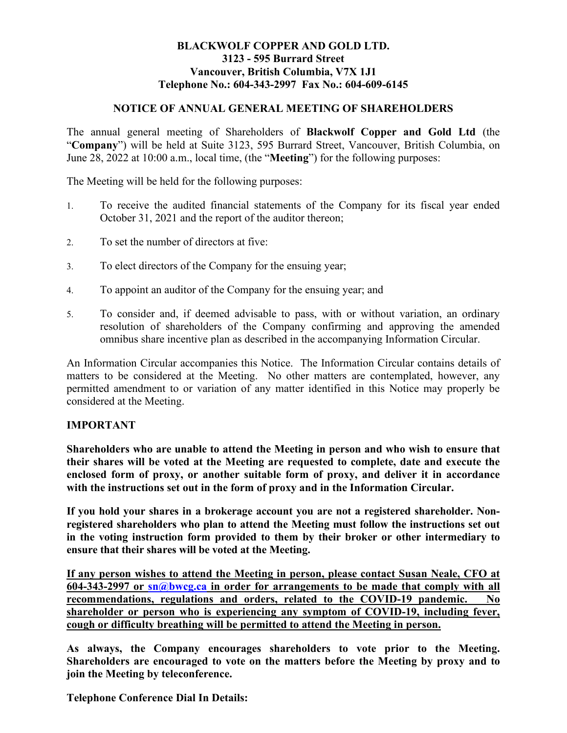## **BLACKWOLF COPPER AND GOLD LTD. 3123 - 595 Burrard Street Vancouver, British Columbia, V7X 1J1 Telephone No.: 604-343-2997 Fax No.: 604-609-6145**

## **NOTICE OF ANNUAL GENERAL MEETING OF SHAREHOLDERS**

The annual general meeting of Shareholders of **Blackwolf Copper and Gold Ltd** (the "**Company**") will be held at Suite 3123, 595 Burrard Street, Vancouver, British Columbia, on June 28, 2022 at 10:00 a.m., local time, (the "**Meeting**") for the following purposes:

The Meeting will be held for the following purposes:

- 1. To receive the audited financial statements of the Company for its fiscal year ended October 31, 2021 and the report of the auditor thereon;
- 2. To set the number of directors at five:
- 3. To elect directors of the Company for the ensuing year;
- 4. To appoint an auditor of the Company for the ensuing year; and
- 5. To consider and, if deemed advisable to pass, with or without variation, an ordinary resolution of shareholders of the Company confirming and approving the amended omnibus share incentive plan as described in the accompanying Information Circular.

An Information Circular accompanies this Notice. The Information Circular contains details of matters to be considered at the Meeting. No other matters are contemplated, however, any permitted amendment to or variation of any matter identified in this Notice may properly be considered at the Meeting.

## **IMPORTANT**

**Shareholders who are unable to attend the Meeting in person and who wish to ensure that their shares will be voted at the Meeting are requested to complete, date and execute the enclosed form of proxy, or another suitable form of proxy, and deliver it in accordance with the instructions set out in the form of proxy and in the Information Circular.** 

**If you hold your shares in a brokerage account you are not a registered shareholder. Nonregistered shareholders who plan to attend the Meeting must follow the instructions set out in the voting instruction form provided to them by their broker or other intermediary to ensure that their shares will be voted at the Meeting.** 

**If any person wishes to attend the Meeting in person, please contact Susan Neale, CFO at 604-343-2997 or [sn@bwcg.ca](mailto:sn@bwcg.ca) in order for arrangements to be made that comply with all recommendations, regulations and orders, related to the COVID-19 pandemic. No shareholder or person who is experiencing any symptom of COVID-19, including fever, cough or difficulty breathing will be permitted to attend the Meeting in person.**

**As always, the Company encourages shareholders to vote prior to the Meeting. Shareholders are encouraged to vote on the matters before the Meeting by proxy and to join the Meeting by teleconference.** 

**Telephone Conference Dial In Details:**